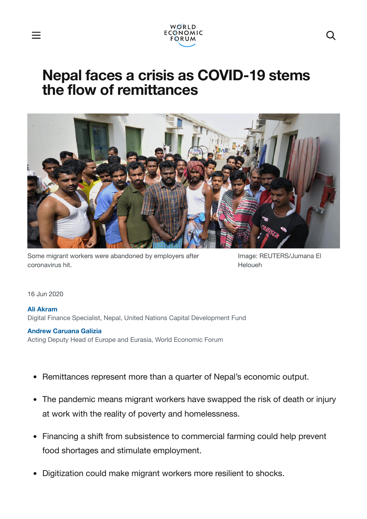

# **Nepal faces a crisis as COVID-19 stems the flow of remittances**



Some migrant workers were abandoned by employers after coronavirus hit.

Image: REUTERS/Jumana El Heloueh

16 Jun 2020

#### **Ali [Akram](https://www.weforum.org/agenda/authors/ali-akram)**

Digital Finance Specialist, Nepal, United Nations Capital Development Fund

#### **Andrew [Caruana](https://www.weforum.org/agenda/authors/andrew-caruana-galizia-78074b41-7d44-420a-b6af-f16e20893abf) Galizia**

Acting Deputy Head of Europe and Eurasia, World Economic Forum

- Remittances represent more than a quarter of Nepal's economic output.
- The pandemic means migrant workers have swapped the risk of death or injury at work with the reality of poverty and homelessness.
- Financing a shift from subsistence to commercial farming could help prevent food shortages and stimulate employment.
- Digitization could make migrant workers more resilient to shocks.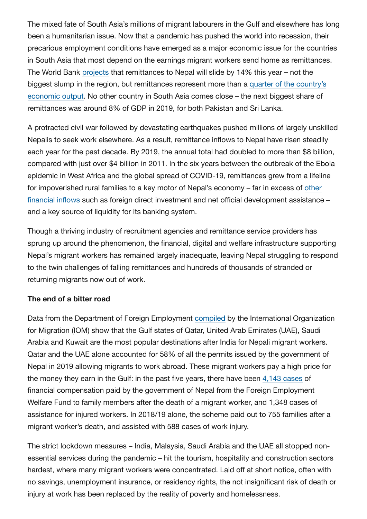The mixed fate of South Asia's millions of migrant labourers in the Gulf and elsewhere has long been a humanitarian issue. Now that a pandemic has pushed the world into recession, their precarious employment conditions have emerged as a major economic issue for the countries in South Asia that most depend on the earnings migrant workers send home as remittances. The World Bank [projects](http://documents.worldbank.org/curated/en/989721587512418006/pdf/COVID-19-Crisis-Through-a-Migration-Lens.pdf) that remittances to Nepal will slide by 14% this year – not the biggest slump in the region, but [remittances represent](https://www.worldbank.org/en/topic/migrationremittancesdiasporaissues/brief/migration-remittances-data) more than a quarter of the country's economic output. No other country in South Asia comes close – the next biggest share of remittances was around 8% of GDP in 2019, for both Pakistan and Sri Lanka.

A protracted civil war followed by devastating earthquakes pushed millions of largely unskilled Nepalis to seek work elsewhere. As a result, remittance inflows to Nepal have risen steadily each year for the past decade. By 2019, the annual total had doubled to more than \$8 billion, compared with just over \$4 billion in 2011. In the six years between the outbreak of the Ebola epidemic in West Africa and the global spread of COVID-19, remittances grew from a lifeline for impoverished rural families to a key motor of [Nepal's economy – far](http://ilo.org/wcmsp5/groups/public/---asia/---ro-bangkok/---ilo-kathmandu/documents/publication/wcms_541231.pdf) in excess of other financial inflows such as foreign direct investment and net official development assistance – and a key source of liquidity for its banking system.

Though a thriving industry of recruitment agencies and remittance service providers has sprung up around the phenomenon, the financial, digital and welfare infrastructure supporting Nepal's migrant workers has remained largely inadequate, leaving Nepal struggling to respond to the twin challenges of falling remittances and hundreds of thousands of stranded or returning migrants now out of work.

### **The end of a bitter road**

Data from the Department of Foreign Employment [compiled](https://publications.iom.int/system/files/pdf/mp_nepal_2019.pdf) by the International Organization for Migration (IOM) show that the Gulf states of Qatar, United Arab Emirates (UAE), Saudi Arabia and Kuwait are the most popular destinations after India for Nepali migrant workers. Qatar and the UAE alone accounted for 58% of all the permits issued by the government of Nepal in 2019 allowing migrants to work abroad. These migrant workers pay a high price for the money they earn in the Gulf: in the past five years, there have been 4,143 [cases](https://publications.iom.int/system/files/pdf/mp_nepal_2019.pdf) of financial compensation paid by the government of Nepal from the Foreign Employment Welfare Fund to family members after the death of a migrant worker, and 1,348 cases of assistance for injured workers. In 2018/19 alone, the scheme paid out to 755 families after a migrant worker's death, and assisted with 588 cases of work injury.

The strict lockdown measures – India, Malaysia, Saudi Arabia and the UAE all stopped nonessential services during the pandemic – hit the tourism, hospitality and construction sectors hardest, where many migrant workers were concentrated. Laid off at short notice, often with no savings, unemployment insurance, or residency rights, the not insignificant risk of death or injury at work has been replaced by the reality of poverty and homelessness.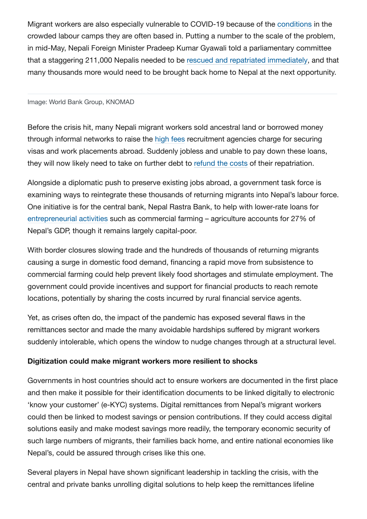Migrant workers are also especially vulnerable to COVID-19 because of the [conditions](https://www.economist.com/middle-east-and-africa/2020/04/23/migrant-workers-in-cramped-gulf-dorms-fear-infection) in the crowded labour camps they are often based in. Putting a number to the scale of the problem, in mid-May, Nepali Foreign Minister Pradeep Kumar Gyawali told a parliamentary committee that a staggering 211,000 Nepalis needed to be rescued and repatriated [immediately](https://ekantipur.com/news/2020/05/11/158920882052283964.html), and that many thousands more would need to be brought back home to Nepal at the next opportunity.

#### Image: World Bank Group, KNOMAD

Before the crisis hit, many Nepali migrant workers sold ancestral land or borrowed money through informal networks to raise the [high](http://apmigration.ilo.org/resources/the-migrant-recruitment-industry-profitability-and-unethical-business-practices-in-nepal-paraguay-and-kenya/at_download/file1) fees recruitment agencies charge for securing visas and work placements abroad. Suddenly jobless and unable to pay down these loans, they will now likely need to take on further debt to [refund](https://kathmandupost.com/national/2020/06/04/migrant-rights-groups-slam-government-plan-to-charge-migrant-workers-for-their-repatriation) the costs of their repatriation.

Alongside a diplomatic push to preserve existing jobs abroad, a government task force is examining ways to reintegrate these thousands of returning migrants into Nepal's labour force. One initiative is for the central bank, Nepal Rastra Bank, to help with lower-rate loans for [entrepreneurial](https://kathmandupost.com/national/2020/04/22/with-hundreds-of-thousands-of-migrants-predicted-to-return-home-nepal-needs-to-brace-for-a-crisis) activities such as commercial farming – agriculture accounts for 27% of Nepal's GDP, though it remains largely capital-poor.

With border closures slowing trade and the hundreds of thousands of returning migrants causing a surge in domestic food demand, financing a rapid move from subsistence to commercial farming could help prevent likely food shortages and stimulate employment. The government could provide incentives and support for financial products to reach remote locations, potentially by sharing the costs incurred by rural financial service agents.

Yet, as crises often do, the impact of the pandemic has exposed several flaws in the remittances sector and made the many avoidable hardships suffered by migrant workers suddenly intolerable, which opens the window to nudge changes through at a structural level.

### **Digitization could make migrant workers more resilient to shocks**

Governments in host countries should act to ensure workers are documented in the first place and then make it possible for their identification documents to be linked digitally to electronic 'know your customer' (e-KYC) systems. Digital remittances from Nepal's migrant workers could then be linked to modest savings or pension contributions. If they could access digital solutions easily and make modest savings more readily, the temporary economic security of such large numbers of migrants, their families back home, and entire national economies like Nepal's, could be assured through crises like this one.

Several players in Nepal have shown significant leadership in tackling the crisis, with the central and private banks unrolling digital solutions to help keep the remittances lifeline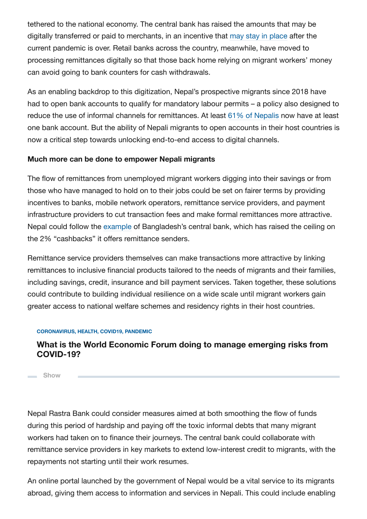tethered to the national economy. The central bank has raised the amounts that may be digitally transferred or paid to merchants, in an incentive that [may stay in](https://kathmandupost.com/money/2020/05/16/banks-digitise-remittance-processing-after-lockdown) place after the current pandemic is over. Retail banks across the country, meanwhile, have moved to processing remittances digitally so that those back home relying on migrant workers' money can avoid going to bank counters for cash withdrawals.

As an enabling backdrop to this digitization, Nepal's prospective migrants since 2018 have had to open bank accounts to qualify for mandatory labour permits – a policy also designed to reduce the use of informal channels for remittances. At least 61% of [Nepalis](https://nepaleconomicforum.org/neftake/key-highlights-from-the-economic-survey-of-fy-2019-20) now have at least one bank account. But the ability of Nepali migrants to open accounts in their host countries is now a critical step towards unlocking end-to-end access to digital channels.

### **Much more can be done to empower Nepali migrants**

The flow of remittances from unemployed migrant workers digging into their savings or from those who have managed to hold on to their jobs could be set on fairer terms by providing incentives to banks, mobile network operators, remittance service providers, and payment infrastructure providers to cut transaction fees and make formal remittances more attractive. Nepal could follow the [example](https://thefinancialexpress.com.bd/economy/bangladesh/bb-relaxes-conditions-for-remittance-incentives-1589369241) of Bangladesh's central bank, which has raised the ceiling on the 2% "cashbacks" it offers remittance senders.

Remittance service providers themselves can make transactions more attractive by linking remittances to inclusive financial products tailored to the needs of migrants and their families, including savings, credit, insurance and bill payment services. Taken together, these solutions could contribute to building individual resilience on a wide scale until migrant workers gain greater access to national welfare schemes and residency rights in their host countries.

### **CORONAVIRUS, HEALTH, COVID19, PANDEMIC**

### **What is the World Economic Forum doing to manage emerging risks from COVID-19?**

**Show**

Nepal Rastra Bank could consider measures aimed at both smoothing the flow of funds during this period of hardship and paying off the toxic informal debts that many migrant workers had taken on to finance their journeys. The central bank could collaborate with remittance service providers in key markets to extend low-interest credit to migrants, with the repayments not starting until their work resumes.

An online portal launched by the government of Nepal would be a vital service to its migrants abroad, giving them access to information and services in Nepali. This could include enabling